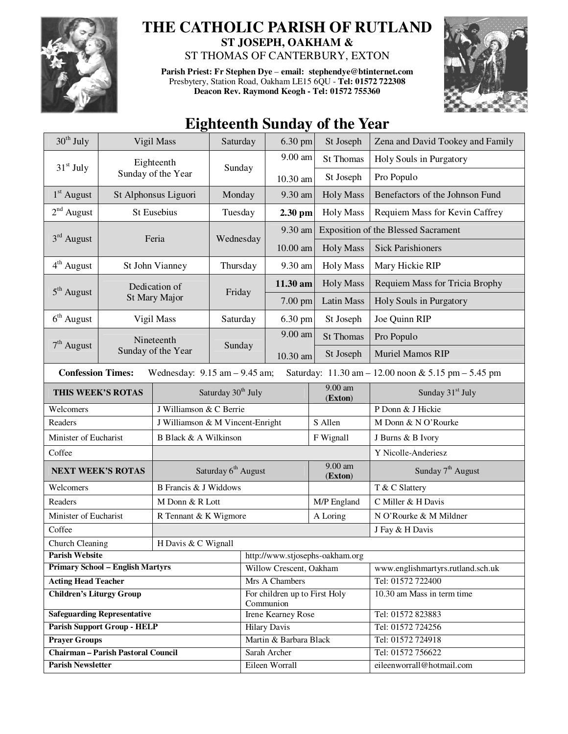

## **THE CATHOLIC PARISH OF RUTLAND ST JOSEPH, OAKHAM &**

ST THOMAS OF CANTERBURY, EXTON

**Parish Priest: Fr Stephen Dye** – **email: stephendye@btinternet.com** Presbytery, Station Road, Oakham LE15 6QU - **Tel: 01572 722308 Deacon Rev. Raymond Keogh - Tel: 01572 755360** 



## **Eighteenth Sunday of the Year**

| $30th$ July                                                                                                          | Vigil Mass           |                                   | Saturday                         |                                            | 6.30 pm                         | St Joseph                       | Zena and David Tookey and Family           |  |  |
|----------------------------------------------------------------------------------------------------------------------|----------------------|-----------------------------------|----------------------------------|--------------------------------------------|---------------------------------|---------------------------------|--------------------------------------------|--|--|
| $31st$ July                                                                                                          |                      | Eighteenth                        |                                  |                                            | 9.00 am                         | <b>St Thomas</b>                | Holy Souls in Purgatory                    |  |  |
|                                                                                                                      | Sunday of the Year   |                                   | Sunday                           |                                            | 10.30 am                        | St Joseph                       | Pro Populo                                 |  |  |
| $1st$ August                                                                                                         | St Alphonsus Liguori | Monday                            |                                  | 9.30 am                                    | <b>Holy Mass</b>                | Benefactors of the Johnson Fund |                                            |  |  |
| $2nd$ August                                                                                                         | St Eusebius          |                                   | Tuesday                          |                                            | $2.30$ pm                       | <b>Holy Mass</b>                | Requiem Mass for Kevin Caffrey             |  |  |
| $3rd$ August<br>Feria                                                                                                |                      |                                   |                                  |                                            | 9.30 am                         |                                 | <b>Exposition of the Blessed Sacrament</b> |  |  |
|                                                                                                                      |                      |                                   |                                  | Wednesday                                  | 10.00 am                        | <b>Holy Mass</b>                | <b>Sick Parishioners</b>                   |  |  |
| $4th$ August                                                                                                         | St John Vianney      |                                   | Thursday                         |                                            | 9.30 am                         | <b>Holy Mass</b>                | Mary Hickie RIP                            |  |  |
|                                                                                                                      |                      | Dedication of                     | Friday                           |                                            | 11.30 am                        | <b>Holy Mass</b>                | Requiem Mass for Tricia Brophy             |  |  |
| $5th$ August                                                                                                         | St Mary Major        |                                   |                                  |                                            | 7.00 pm                         | <b>Latin Mass</b>               | Holy Souls in Purgatory                    |  |  |
| $6th$ August                                                                                                         |                      | Vigil Mass                        |                                  | Saturday                                   | 6.30 pm                         | St Joseph                       | Joe Quinn RIP                              |  |  |
|                                                                                                                      |                      | Nineteenth                        |                                  | Sunday                                     | 9.00 am                         | <b>St Thomas</b>                | Pro Populo                                 |  |  |
| $7th$ August                                                                                                         |                      | Sunday of the Year                |                                  |                                            | 10.30 am                        | St Joseph                       | Muriel Mamos RIP                           |  |  |
| <b>Confession Times:</b><br>Saturday: 11.30 am - 12.00 noon & 5.15 pm - 5.45 pm<br>Wednesday: $9.15$ am $- 9.45$ am; |                      |                                   |                                  |                                            |                                 |                                 |                                            |  |  |
| THIS WEEK'S ROTAS                                                                                                    |                      |                                   | Saturday 30 <sup>th</sup> July   |                                            |                                 | 9.00 am<br>(Exton)              | Sunday 31 <sup>st</sup> July               |  |  |
| Welcomers                                                                                                            |                      | J Williamson & C Berrie           |                                  |                                            |                                 | P Donn & J Hickie               |                                            |  |  |
| Readers                                                                                                              |                      |                                   | J Williamson & M Vincent-Enright |                                            |                                 | S Allen                         | M Donn & N O'Rourke                        |  |  |
| Minister of Eucharist                                                                                                |                      | B Black & A Wilkinson             |                                  |                                            |                                 | F Wignall                       | J Burns & B Ivory                          |  |  |
| Coffee                                                                                                               |                      |                                   |                                  |                                            |                                 | Y Nicolle-Anderiesz             |                                            |  |  |
| <b>NEXT WEEK'S ROTAS</b>                                                                                             |                      | Saturday 6 <sup>th</sup> August   |                                  |                                            |                                 | $9.00$ am<br>(Exton)            | Sunday 7 <sup>th</sup> August              |  |  |
| Welcomers                                                                                                            |                      | <b>B</b> Francis & J Widdows      |                                  |                                            |                                 |                                 | T & C Slattery                             |  |  |
| Readers                                                                                                              |                      | M Donn & R Lott                   |                                  |                                            |                                 | M/P England                     | C Miller & H Davis                         |  |  |
| Minister of Eucharist                                                                                                |                      | R Tennant & K Wigmore<br>A Loring |                                  |                                            |                                 |                                 | N O'Rourke & M Mildner                     |  |  |
| Coffee                                                                                                               |                      |                                   |                                  |                                            |                                 |                                 | J Fay & H Davis                            |  |  |
| <b>Church Cleaning</b><br>H Davis & C Wignall                                                                        |                      |                                   |                                  |                                            |                                 |                                 |                                            |  |  |
| <b>Parish Website</b>                                                                                                |                      |                                   |                                  |                                            | http://www.stjosephs-oakham.org |                                 |                                            |  |  |
| <b>Primary School - English Martyrs</b>                                                                              |                      |                                   |                                  | Willow Crescent, Oakham                    |                                 |                                 | www.englishmartyrs.rutland.sch.uk          |  |  |
| <b>Acting Head Teacher</b>                                                                                           |                      |                                   |                                  | Mrs A Chambers                             |                                 |                                 | Tel: 01572 722400                          |  |  |
| <b>Children's Liturgy Group</b>                                                                                      |                      |                                   |                                  | For children up to First Holy<br>Communion |                                 |                                 | 10.30 am Mass in term time                 |  |  |
| <b>Safeguarding Representative</b>                                                                                   |                      |                                   |                                  | Irene Kearney Rose                         |                                 |                                 | Tel: 01572 823883                          |  |  |
| <b>Parish Support Group - HELP</b>                                                                                   |                      |                                   |                                  | <b>Hilary Davis</b>                        |                                 |                                 | Tel: 01572 724256                          |  |  |
| <b>Prayer Groups</b>                                                                                                 |                      |                                   |                                  | Martin & Barbara Black                     |                                 |                                 | Tel: 01572 724918                          |  |  |
| <b>Chairman - Parish Pastoral Council</b>                                                                            |                      |                                   |                                  | Sarah Archer                               |                                 |                                 | Tel: 01572 756622                          |  |  |
| <b>Parish Newsletter</b>                                                                                             |                      |                                   |                                  | Eileen Worrall                             |                                 |                                 | eileenworrall@hotmail.com                  |  |  |